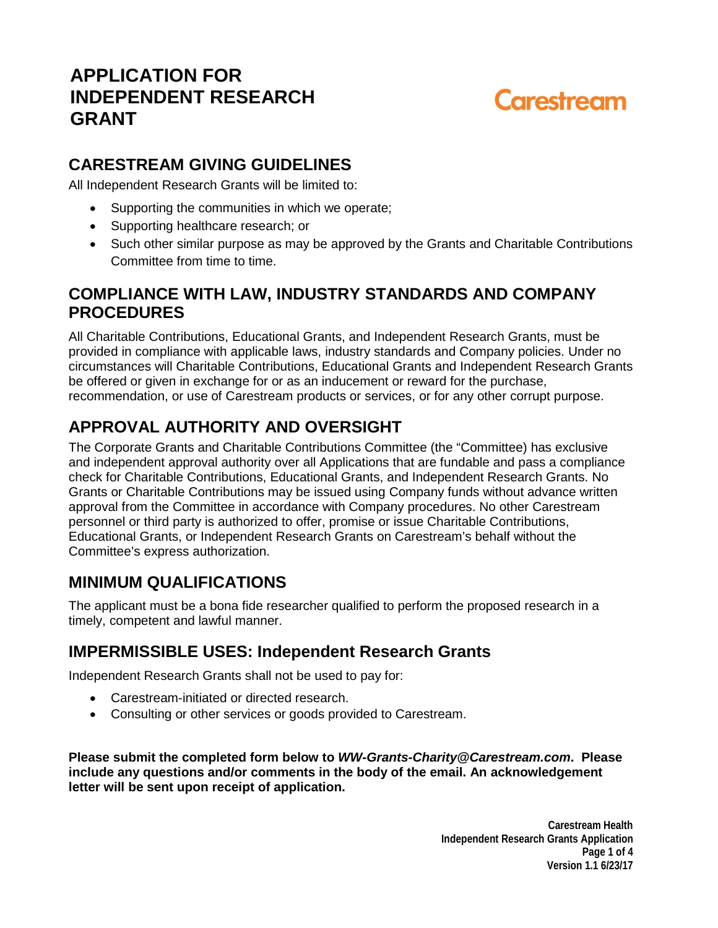# **APPLICATION FOR INDEPENDENT RESEARCH GRANT**

# Carestream

## **CARESTREAM GIVING GUIDELINES**

All Independent Research Grants will be limited to:

- Supporting the communities in which we operate;
- Supporting healthcare research; or
- Such other similar purpose as may be approved by the Grants and Charitable Contributions Committee from time to time.

## **COMPLIANCE WITH LAW, INDUSTRY STANDARDS AND COMPANY PROCEDURES**

All Charitable Contributions, Educational Grants, and Independent Research Grants, must be provided in compliance with applicable laws, industry standards and Company policies. Under no circumstances will Charitable Contributions, Educational Grants and Independent Research Grants be offered or given in exchange for or as an inducement or reward for the purchase, recommendation, or use of Carestream products or services, or for any other corrupt purpose.

# **APPROVAL AUTHORITY AND OVERSIGHT**

The Corporate Grants and Charitable Contributions Committee (the "Committee) has exclusive and independent approval authority over all Applications that are fundable and pass a compliance check for Charitable Contributions, Educational Grants, and Independent Research Grants. No Grants or Charitable Contributions may be issued using Company funds without advance written approval from the Committee in accordance with Company procedures. No other Carestream personnel or third party is authorized to offer, promise or issue Charitable Contributions, Educational Grants, or Independent Research Grants on Carestream's behalf without the Committee's express authorization.

#### **MINIMUM QUALIFICATIONS**

The applicant must be a bona fide researcher qualified to perform the proposed research in a timely, competent and lawful manner.

## **IMPERMISSIBLE USES: Independent Research Grants**

Independent Research Grants shall not be used to pay for:

- Carestream-initiated or directed research.
- Consulting or other services or goods provided to Carestream.

**Please submit the completed form below to** *WW-Grants-Charity@Carestream.com***. Please include any questions and/or comments in the body of the email. An acknowledgement letter will be sent upon receipt of application.** 

> **Carestream Health Independent Research Grants Application Page 1 of 4 Version 1.1 6/23/17**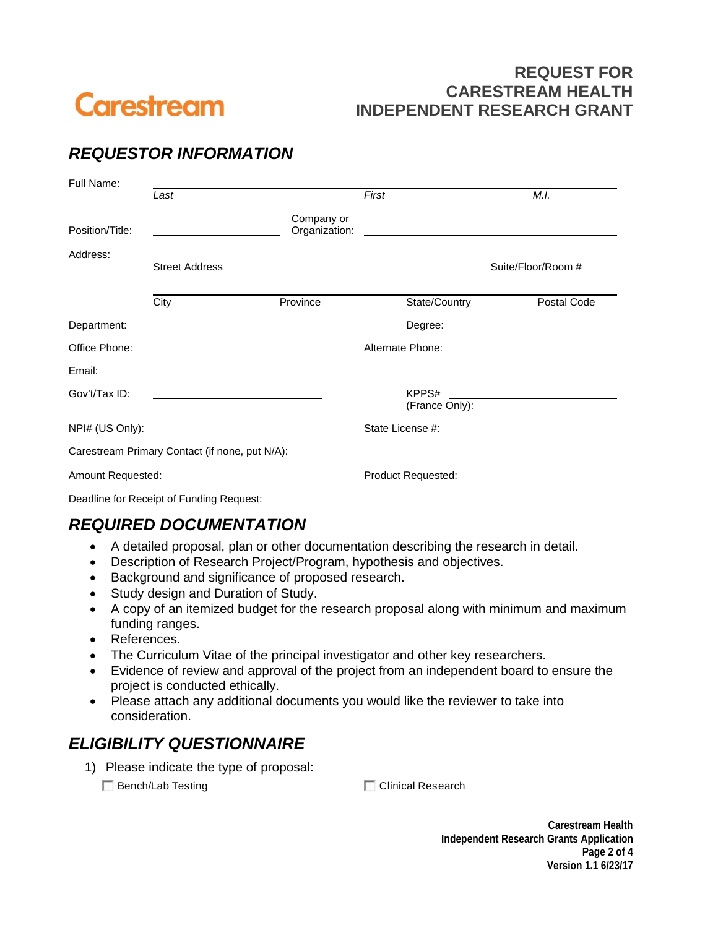

#### **REQUEST FOR CARESTREAM HEALTH INDEPENDENT RESEARCH GRANT**

# *REQUESTOR INFORMATION*

| Full Name:                                   |                                                            |            |                                                                                                                                                                                                                               |                                                                                                                                                                                                                                |  |  |
|----------------------------------------------|------------------------------------------------------------|------------|-------------------------------------------------------------------------------------------------------------------------------------------------------------------------------------------------------------------------------|--------------------------------------------------------------------------------------------------------------------------------------------------------------------------------------------------------------------------------|--|--|
|                                              | Last                                                       |            | First                                                                                                                                                                                                                         | M.I.                                                                                                                                                                                                                           |  |  |
| Position/Title:                              | the control of the control of the control of               | Company or | Organization: contract to the contract of the contract of the contract of the contract of the contract of the contract of the contract of the contract of the contract of the contract of the contract of the contract of the |                                                                                                                                                                                                                                |  |  |
| Address:                                     |                                                            |            |                                                                                                                                                                                                                               |                                                                                                                                                                                                                                |  |  |
|                                              | <b>Street Address</b>                                      |            |                                                                                                                                                                                                                               | Suite/Floor/Room #                                                                                                                                                                                                             |  |  |
|                                              | City                                                       | Province   | State/Country                                                                                                                                                                                                                 | Postal Code                                                                                                                                                                                                                    |  |  |
| Department:                                  |                                                            |            |                                                                                                                                                                                                                               | Degree: the contract of the contract of the contract of the contract of the contract of the contract of the contract of the contract of the contract of the contract of the contract of the contract of the contract of the co |  |  |
| Office Phone:                                |                                                            |            |                                                                                                                                                                                                                               |                                                                                                                                                                                                                                |  |  |
| Email:                                       |                                                            |            |                                                                                                                                                                                                                               |                                                                                                                                                                                                                                |  |  |
| Gov't/Tax ID:                                | <u> 1989 - Johann Barn, amerikansk politiker (d. 1989)</u> |            |                                                                                                                                                                                                                               |                                                                                                                                                                                                                                |  |  |
|                                              |                                                            |            | (France Only):                                                                                                                                                                                                                |                                                                                                                                                                                                                                |  |  |
|                                              |                                                            |            |                                                                                                                                                                                                                               |                                                                                                                                                                                                                                |  |  |
|                                              |                                                            |            | Carestream Primary Contact (if none, put N/A): __________________________________                                                                                                                                             |                                                                                                                                                                                                                                |  |  |
| Amount Requested: National Amount Requested: |                                                            |            |                                                                                                                                                                                                                               | Product Requested: National Product Requested:                                                                                                                                                                                 |  |  |
|                                              | Deadline for Receipt of Funding Request: ___________       |            |                                                                                                                                                                                                                               |                                                                                                                                                                                                                                |  |  |

#### *REQUIRED DOCUMENTATION*

- A detailed proposal, plan or other documentation describing the research in detail.
- Description of Research Project/Program, hypothesis and objectives.
- Background and significance of proposed research.
- Study design and Duration of Study.
- A copy of an itemized budget for the research proposal along with minimum and maximum funding ranges.
- References.
- The Curriculum Vitae of the principal investigator and other key researchers.
- Evidence of review and approval of the project from an independent board to ensure the project is conducted ethically.
- Please attach any additional documents you would like the reviewer to take into consideration.

## *ELIGIBILITY QUESTIONNAIRE*

1) Please indicate the type of proposal:

■ Bench/Lab Testing Clinical Research

**Carestream Health Independent Research Grants Application Page 2 of 4 Version 1.1 6/23/17**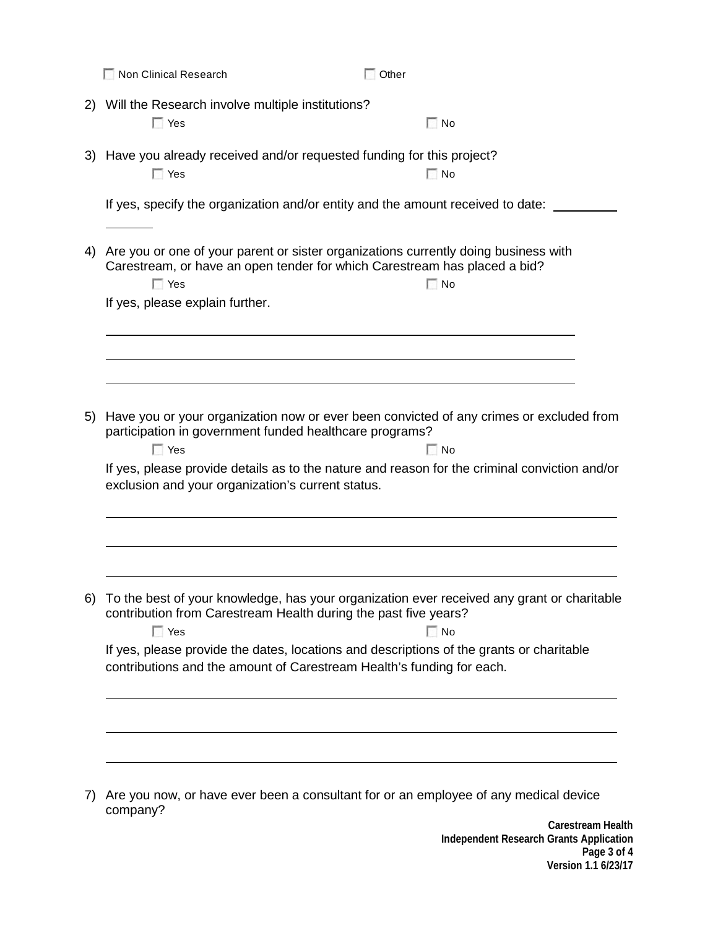|    | Non Clinical Research<br>Other                                                                                                                                                                                                                                                                                                                                |
|----|---------------------------------------------------------------------------------------------------------------------------------------------------------------------------------------------------------------------------------------------------------------------------------------------------------------------------------------------------------------|
| 2) | Will the Research involve multiple institutions?<br>$\Box$ Yes<br>$\Box$ No                                                                                                                                                                                                                                                                                   |
|    | 3) Have you already received and/or requested funding for this project?<br>$\Box$ No<br>$\Box$ Yes                                                                                                                                                                                                                                                            |
|    | If yes, specify the organization and/or entity and the amount received to date:                                                                                                                                                                                                                                                                               |
| 4) | Are you or one of your parent or sister organizations currently doing business with<br>Carestream, or have an open tender for which Carestream has placed a bid?<br>$\Box$ Yes<br>$\Box$ No<br>If yes, please explain further.                                                                                                                                |
|    |                                                                                                                                                                                                                                                                                                                                                               |
| 5) | Have you or your organization now or ever been convicted of any crimes or excluded from<br>participation in government funded healthcare programs?<br>$\Box$ No<br>$\Box$ Yes<br>If yes, please provide details as to the nature and reason for the criminal conviction and/or<br>exclusion and your organization's current status.                           |
|    |                                                                                                                                                                                                                                                                                                                                                               |
| 6) | To the best of your knowledge, has your organization ever received any grant or charitable<br>contribution from Carestream Health during the past five years?<br>$\Box$ Yes<br>$\Box$ No<br>If yes, please provide the dates, locations and descriptions of the grants or charitable<br>contributions and the amount of Carestream Health's funding for each. |
|    |                                                                                                                                                                                                                                                                                                                                                               |
|    |                                                                                                                                                                                                                                                                                                                                                               |
| 7) | Are you now, or have ever been a consultant for or an employee of any medical device<br>company?                                                                                                                                                                                                                                                              |

**Carestream Health Independent Research Grants Application Page 3 of 4 Version 1.1 6/23/17**